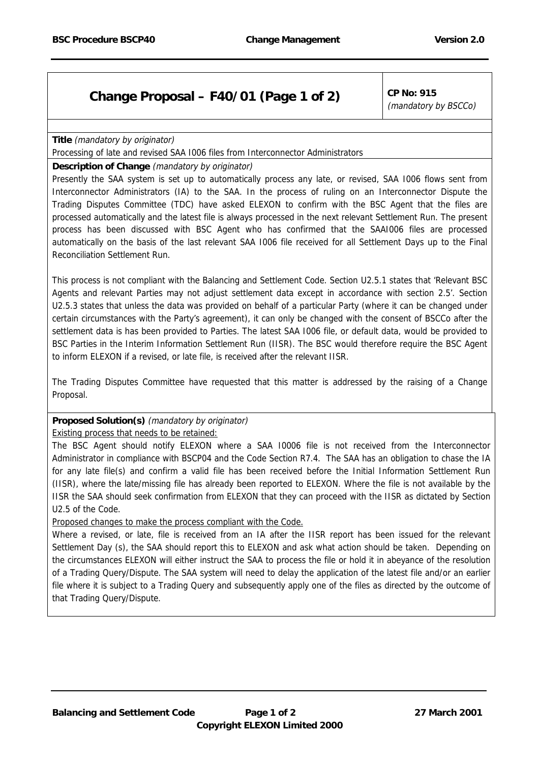## **Change Proposal – F40/01 (Page 1 of 2)**  $\vert$  CP No: 915

(mandatory by BSCCo)

**Title** (mandatory by originator)

Processing of late and revised SAA I006 files from Interconnector Administrators

## **Description of Change** (mandatory by originator)

Presently the SAA system is set up to automatically process any late, or revised, SAA 1006 flows sent from Interconnector Administrators (IA) to the SAA. In the process of ruling on an Interconnector Dispute the Trading Disputes Committee (TDC) have asked ELEXON to confirm with the BSC Agent that the files are processed automatically and the latest file is always processed in the next relevant Settlement Run. The present process has been discussed with BSC Agent who has confirmed that the SAAI006 files are processed automatically on the basis of the last relevant SAA I006 file received for all Settlement Days up to the Final Reconciliation Settlement Run.

This process is not compliant with the Balancing and Settlement Code. Section U2.5.1 states that 'Relevant BSC Agents and relevant Parties may not adjust settlement data except in accordance with section 2.5'. Section U2.5.3 states that unless the data was provided on behalf of a particular Party (where it can be changed under certain circumstances with the Party's agreement), it can only be changed with the consent of BSCCo after the settlement data is has been provided to Parties. The latest SAA I006 file, or default data, would be provided to BSC Parties in the Interim Information Settlement Run (IISR). The BSC would therefore require the BSC Agent to inform ELEXON if a revised, or late file, is received after the relevant IISR.

The Trading Disputes Committee have requested that this matter is addressed by the raising of a Change Proposal.

## **Proposed Solution(s)** (mandatory by originator)

## Existing process that needs to be retained:

The BSC Agent should notify ELEXON where a SAA I0006 file is not received from the Interconnector Administrator in compliance with BSCP04 and the Code Section R7.4. The SAA has an obligation to chase the IA for any late file(s) and confirm a valid file has been received before the Initial Information Settlement Run (IISR), where the late/missing file has already been reported to ELEXON. Where the file is not available by the IISR the SAA should seek confirmation from ELEXON that they can proceed with the IISR as dictated by Section U2.5 of the Code.

Proposed changes to make the process compliant with the Code.

Where a revised, or late, file is received from an IA after the IISR report has been issued for the relevant Settlement Day (s), the SAA should report this to ELEXON and ask what action should be taken. Depending on the circumstances ELEXON will either instruct the SAA to process the file or hold it in abeyance of the resolution of a Trading Query/Dispute. The SAA system will need to delay the application of the latest file and/or an earlier file where it is subject to a Trading Query and subsequently apply one of the files as directed by the outcome of that Trading Query/Dispute.